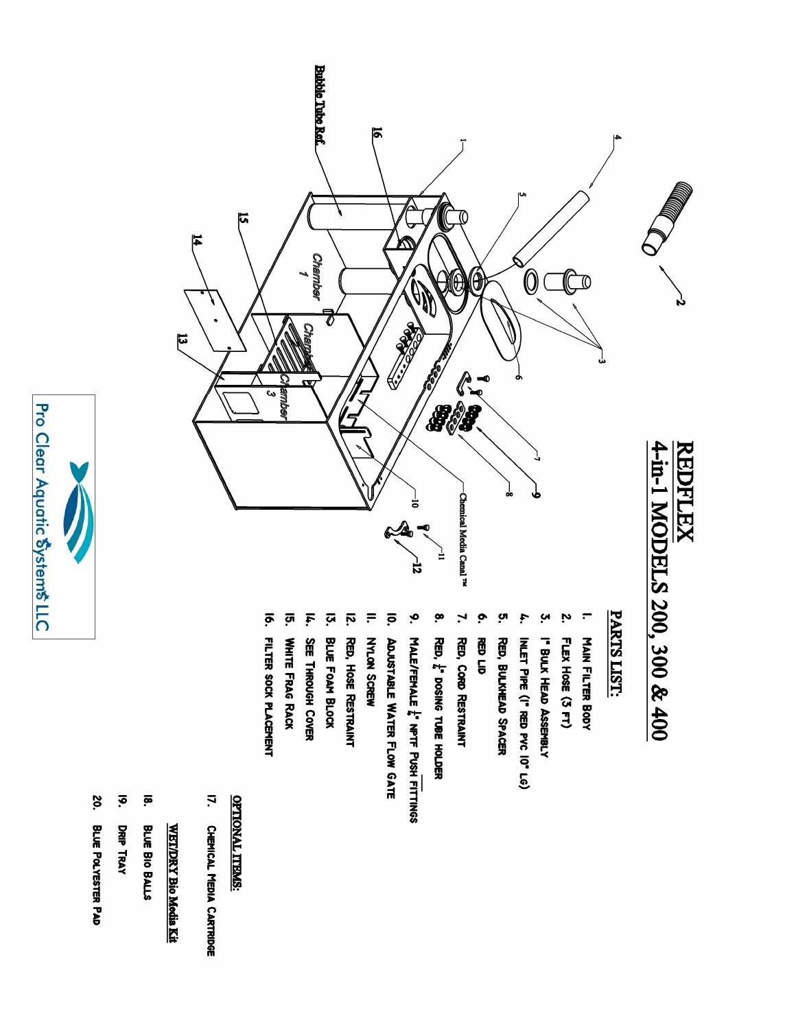

- 20. **BLUE POLYESTER PAD**
- $\vec{e}$ DRIP TRAY
- $\overline{\mathbf{e}}$ BLUE BIO BALLS

# **WET/DRY Bio Media Kit**

 $\vec{a}$ 

I7. CHEMICAL MEDIA CARTRIDGE

## **<u>OPTIONAL ITEMS:</u>**

- **Bubble Tube Ref.** চ  $\overline{5}$ 피 *Chamber*  $\overline{\textbf{0}}$ **CON** 10 O) 0 RECORD RECORD Ø Cha  $\begin{array}{c}\n\mathbf{1} \\
\mathbf{1} \\
\mathbf{2} \\
\mathbf{3}\n\end{array}$ **SMMD** 4-in-1 MODELS 200, 300 & 400 **REDFLEX** -Chemical Media Canal<sup>TM</sup> ់  $\overline{12}$ 
	- PARTS LIST:
	- $\blacksquare$ **MAIN FILTER BODY**
	- Z. FLEX HOSE (3 FT)
	- š. I" BULK HEAD ASSEMBLY
	- INLET PIPE (I" RED PVC 10" LG)
	- RED, BULKHEAD SPACER
	- **RED LID**
	- RED, CORD RESTRAINT
	- ë. RED, L' DOSING TUBE HOLDER
	- $\mathbf{e}$ MALE/FEMALE L' NPTF PUSH FITTINGS
	-
	- ō. **ADJUSTABLE WATER FLOW GATE**
	- $\equiv$ NYLON SCREW
	- ίý. RED, HOSE RESTRAINT
	-
	- ίή. **BLUE FOAM BLOCK**
	-
	-
	-
	- **SEE THROUGH COVER**
	-
	-
	-
	-
	-
	-
	-
	-
	-
	-
	-
	-
	-
	- ភូ
	-
	-
	-
	-
	-
	- ō.
	-
	-
	-
	-
	- FILTER SOCK PLACEMENT
- 
- Ī.
- 
- 
- **WHITE FRAG RACK**
- 
- 
- 
- 
- 
- 
- 
- 
- 
- 
- 
- 
- 
- 
- 
- 
- 
- 
- 
- 
- 
- 
- 
-